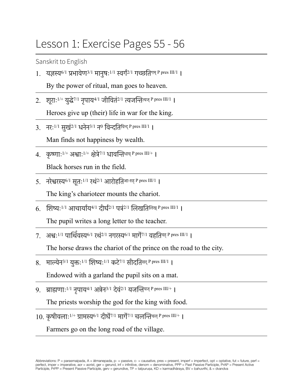## Lesson 1: Exercise Pages 55 - 56

Sanskrit to English

1. यज्ञस्य<sup>6/1</sup> प्रभावेण<sup>3/1</sup> मानुषः<sup>1/1</sup> स्वर्गं<sup>2/1</sup> गच्छतिगम् P pres III/1 ।

By the power of ritual, man goes to heaven.

2. शूराः<sup>1/+</sup> युद्धे<sup>7/1</sup> नृपाय<sup>4/1</sup> जीवितं<sup>2/1</sup> त्यजन्तित्यज् P pres III/1 ।

Heroes give up (their) life in war for the king.

3. नरः $^{1/1}$  सुखं $^{2/1}$  धनेन $^{3/1}$  न $^0$  विन्दतिक्दि P pres III/1 ।

Man finds not happiness by wealth.

- 4. कृष्णाः<sup>1/+</sup> अश्वाः<sup>1/+</sup> क्षेत्रे<sup>7/1</sup> धावन्तिधाव् <sup>P pres III/+</sup> । Black horses run in the field.
- 5. नरेश्वरस्य<sup>6/1</sup> सूतः<sup>1/1</sup> रथं<sup>2/1</sup> आरोहतिआ-रुह् P pres III/1 । The king's charioteer mounts the chariot.
- 6 शिष्य:<sup>1/1</sup> आचार्याय<sup>4/1</sup> दीर्घं<sup>2/1</sup> पत्रं<sup>2/1</sup> लिखतिलिख् P pres III/1 ।

The pupil writes a long letter to the teacher.

7. अश्वः $1^{1/1}$  पार्थिवस्य $^{6/1}$  रथं $^{2/1}$  नगरस्य $^{6/1}$  मार्गे $^{7/1}$  वहतिवह् P pres III/1 ।

The horse draws the chariot of the prince on the road to the city.

- 8. माल्येन<sup>3/1</sup> युक्त:<sup>1/1</sup> शिष्य:<sup>1/1</sup> कटे<sup>7/1</sup> सीदतिसद् <sup>p</sup> pres III/1 | Endowed with a garland the pupil sits on a mat.
- $9.$  ब्राह्मणाः<sup>1/1</sup> नपाय<sup>4/1</sup> अन्नेन<sup>3/1</sup> देवं<sup>2/1</sup> यजन्तियज् P pres III/+ ।

The priests worship the god for the king with food.

 $10.$  कृषीवलाः<sup>1/+</sup> ग्रामस्य<sup>6/1</sup> दीर्घे<sup>7/1</sup> मार्गे<sup>7/1</sup> चलन्तिचल् P pres III/+ ।

Farmers go on the long road of the village.